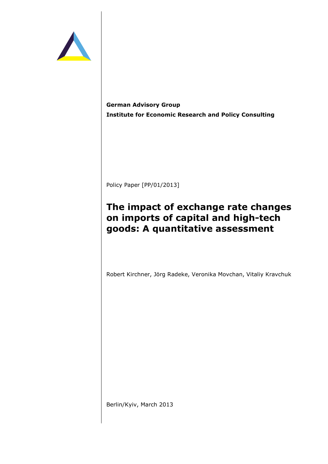

**German Advisory Group Institute for Economic Research and Policy Consulting** 

Policy Paper [PP/01/2013]

# **The impact of exchange rate changes on imports of capital and high-tech goods: A quantitative assessment**

Robert Kirchner, Jörg Radeke, Veronika Movchan, Vitaliy Kravchuk

Berlin/Kyiv, March 2013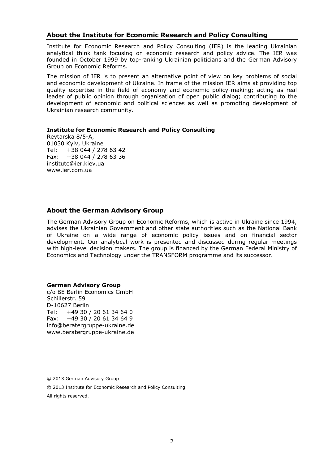## **About the Institute for Economic Research and Policy Consulting**

Institute for Economic Research and Policy Consulting (IER) is the leading Ukrainian analytical think tank focusing on economic research and policy advice. The IER was founded in October 1999 by top-ranking Ukrainian politicians and the German Advisory Group on Economic Reforms.

The mission of IER is to present an alternative point of view on key problems of social and economic development of Ukraine. In frame of the mission IER aims at providing top quality expertise in the field of economy and economic policy-making; acting as real leader of public opinion through organisation of open public dialog; contributing to the development of economic and political sciences as well as promoting development of Ukrainian research community.

#### **Institute for Economic Research and Policy Consulting**

Reytarska 8/5-A, 01030 Kyiv, Ukraine Tel: +38 044 / 278 63 42 Fax: +38 044 / 278 63 36 institute@ier.kiev.ua www.ier.com.ua

## **About the German Advisory Group**

The German Advisory Group on Economic Reforms, which is active in Ukraine since 1994, advises the Ukrainian Government and other state authorities such as the National Bank of Ukraine on a wide range of economic policy issues and on financial sector development. Our analytical work is presented and discussed during regular meetings with high-level decision makers. The group is financed by the German Federal Ministry of Economics and Technology under the TRANSFORM programme and its successor.

#### **German Advisory Group**

c/o BE Berlin Economics GmbH Schillerstr. 59 D-10627 Berlin Tel: +49 30 / 20 61 34 64 0 Fax: +49 30 / 20 61 34 64 9 info@beratergruppe-ukraine.de www.beratergruppe-ukraine.de

© 2013 German Advisory Group

© 2013 Institute for Economic Research and Policy Consulting

All rights reserved.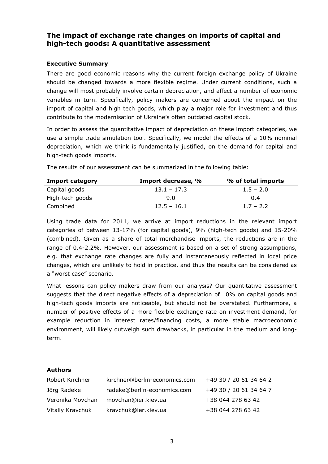# **The impact of exchange rate changes on imports of capital and high-tech goods: A quantitative assessment**

#### **Executive Summary**

There are good economic reasons why the current foreign exchange policy of Ukraine should be changed towards a more flexible regime. Under current conditions, such a change will most probably involve certain depreciation, and affect a number of economic variables in turn. Specifically, policy makers are concerned about the impact on the import of capital and high tech goods, which play a major role for investment and thus contribute to the modernisation of Ukraine's often outdated capital stock.

In order to assess the quantitative impact of depreciation on these import categories, we use a simple trade simulation tool. Specifically, we model the effects of a 10% nominal depreciation, which we think is fundamentally justified, on the demand for capital and high-tech goods imports.

| <b>Import category</b> | Import decrease, % | % of total imports |
|------------------------|--------------------|--------------------|
| Capital goods          | $13.1 - 17.3$      | $1.5 - 2.0$        |
| High-tech goods        | 9.0                | 0.4                |
| Combined               | $12.5 - 16.1$      | $1.7 - 2.2$        |

The results of our assessment can be summarized in the following table:

Using trade data for 2011, we arrive at import reductions in the relevant import categories of between 13-17% (for capital goods), 9% (high-tech goods) and 15-20% (combined). Given as a share of total merchandise imports, the reductions are in the range of 0.4-2.2%. However, our assessment is based on a set of strong assumptions, e.g. that exchange rate changes are fully and instantaneously reflected in local price changes, which are unlikely to hold in practice, and thus the results can be considered as a "worst case" scenario.

What lessons can policy makers draw from our analysis? Our quantitative assessment suggests that the direct negative effects of a depreciation of 10% on capital goods and high-tech goods imports are noticeable, but should not be overstated. Furthermore, a number of positive effects of a more flexible exchange rate on investment demand, for example reduction in interest rates/financing costs, a more stable macroeconomic environment, will likely outweigh such drawbacks, in particular in the medium and longterm.

#### **Authors**

| Robert Kirchner  | kirchner@berlin-economics.com | +49 30 / 20 61 34 64 2 |
|------------------|-------------------------------|------------------------|
| Jörg Radeke      | radeke@berlin-economics.com   | +49 30 / 20 61 34 64 7 |
| Veronika Movchan | movchan@ier.kiev.ua           | +38 044 278 63 42      |
| Vitaliy Kravchuk | kravchuk@ier.kiev.ua          | +38 044 278 63 42      |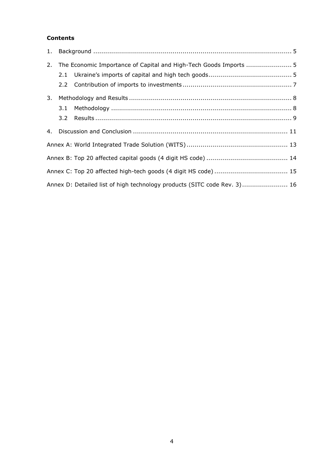## **Contents**

| The Economic Importance of Capital and High-Tech Goods Imports  5<br>2. |     |                                                                          |  |  |
|-------------------------------------------------------------------------|-----|--------------------------------------------------------------------------|--|--|
|                                                                         |     |                                                                          |  |  |
|                                                                         |     |                                                                          |  |  |
| 3.                                                                      |     |                                                                          |  |  |
|                                                                         | 3.1 |                                                                          |  |  |
|                                                                         | 3.2 |                                                                          |  |  |
|                                                                         |     |                                                                          |  |  |
|                                                                         |     |                                                                          |  |  |
|                                                                         |     |                                                                          |  |  |
|                                                                         |     |                                                                          |  |  |
|                                                                         |     | Annex D: Detailed list of high technology products (SITC code Rev. 3) 16 |  |  |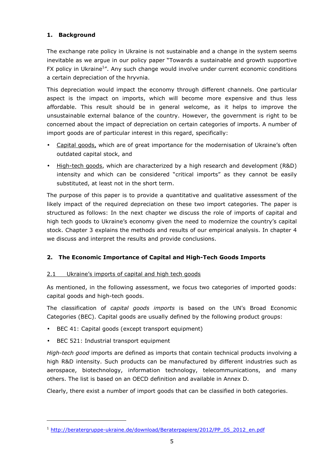## **1. Background**

The exchange rate policy in Ukraine is not sustainable and a change in the system seems inevitable as we argue in our policy paper "Towards a sustainable and growth supportive FX policy in Ukraine<sup>1</sup>". Any such change would involve under current economic conditions a certain depreciation of the hryvnia.

This depreciation would impact the economy through different channels. One particular aspect is the impact on imports, which will become more expensive and thus less affordable. This result should be in general welcome, as it helps to improve the unsustainable external balance of the country. However, the government is right to be concerned about the impact of depreciation on certain categories of imports. A number of import goods are of particular interest in this regard, specifically:

- Capital goods, which are of great importance for the modernisation of Ukraine's often outdated capital stock, and
- High-tech goods, which are characterized by a high research and development (R&D) intensity and which can be considered "critical imports" as they cannot be easily substituted, at least not in the short term.

The purpose of this paper is to provide a quantitative and qualitative assessment of the likely impact of the required depreciation on these two import categories. The paper is structured as follows: In the next chapter we discuss the role of imports of capital and high tech goods to Ukraine's economy given the need to modernize the country's capital stock. Chapter 3 explains the methods and results of our empirical analysis. In chapter 4 we discuss and interpret the results and provide conclusions.

# **2. The Economic Importance of Capital and High-Tech Goods Imports**

## 2.1 Ukraine's imports of capital and high tech goods

As mentioned, in the following assessment, we focus two categories of imported goods: capital goods and high-tech goods.

The classification of *capital goods imports* is based on the UN's Broad Economic Categories (BEC). Capital goods are usually defined by the following product groups:

- BEC 41: Capital goods (except transport equipment)
- BEC 521: Industrial transport equipment

i,

*High-tech good* imports are defined as imports that contain technical products involving a high R&D intensity. Such products can be manufactured by different industries such as aerospace, biotechnology, information technology, telecommunications, and many others. The list is based on an OECD definition and available in Annex D.

Clearly, there exist a number of import goods that can be classified in both categories.

<sup>&</sup>lt;sup>1</sup> http://beratergruppe-ukraine.de/download/Beraterpapiere/2012/PP\_05\_2012\_en.pdf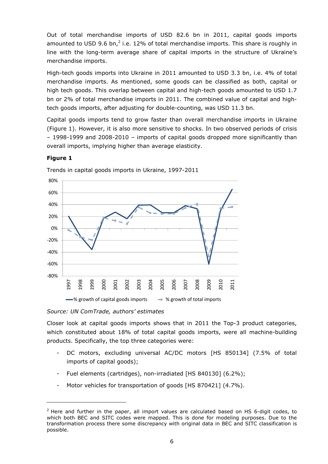Out of total merchandise imports of USD 82.6 bn in 2011, capital goods imports amounted to USD 9.6 bn,<sup>2</sup> i.e. 12% of total merchandise imports. This share is roughly in line with the long-term average share of capital imports in the structure of Ukraine's merchandise imports.

High-tech goods imports into Ukraine in 2011 amounted to USD 3.3 bn, i.e. 4% of total merchandise imports. As mentioned, some goods can be classified as both, capital or high tech goods. This overlap between capital and high-tech goods amounted to USD 1.7 bn or 2% of total merchandise imports in 2011. The combined value of capital and hightech goods imports, after adjusting for double-counting, was USD 11.3 bn.

Capital goods imports tend to grow faster than overall merchandise imports in Ukraine (Figure 1). However, it is also more sensitive to shocks. In two observed periods of crisis – 1998-1999 and 2008-2010 – imports of capital goods dropped more significantly than overall imports, implying higher than average elasticity.

## **Figure 1**

l



Trends in capital goods imports in Ukraine, 1997-2011

*Source: UN ComTrade, authors' estimates* 

Closer look at capital goods imports shows that in 2011 the Top-3 product categories, which constituted about 18% of total capital goods imports, were all machine-building products. Specifically, the top three categories were:

- DC motors, excluding universal AC/DC motors [HS 850134] (7.5% of total imports of capital goods);
- Fuel elements (cartridges), non-irradiated [HS 840130] (6.2%);
- Motor vehicles for transportation of goods [HS 870421] (4.7%).

 $2$  Here and further in the paper, all import values are calculated based on HS 6-digit codes, to which both BEC and SITC codes were mapped. This is done for modeling purposes. Due to the transformation process there some discrepancy with original data in BEC and SITC classification is possible.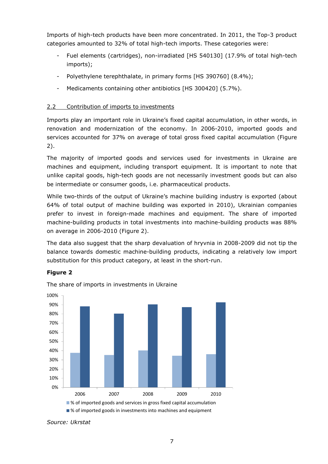Imports of high-tech products have been more concentrated. In 2011, the Top-3 product categories amounted to 32% of total high-tech imports. These categories were:

- Fuel elements (cartridges), non-irradiated [HS 540130] (17.9% of total high-tech imports);
- Polyethylene terephthalate, in primary forms [HS 390760] (8.4%);
- Medicaments containing other antibiotics [HS 300420] (5.7%).

## 2.2 Contribution of imports to investments

Imports play an important role in Ukraine's fixed capital accumulation, in other words, in renovation and modernization of the economy. In 2006-2010, imported goods and services accounted for 37% on average of total gross fixed capital accumulation (Figure 2).

The majority of imported goods and services used for investments in Ukraine are machines and equipment, including transport equipment. It is important to note that unlike capital goods, high-tech goods are not necessarily investment goods but can also be intermediate or consumer goods, i.e. pharmaceutical products.

While two-thirds of the output of Ukraine's machine building industry is exported (about 64% of total output of machine building was exported in 2010), Ukrainian companies prefer to invest in foreign-made machines and equipment. The share of imported machine-building products in total investments into machine-building products was 88% on average in 2006-2010 (Figure 2).

The data also suggest that the sharp devaluation of hryvnia in 2008-2009 did not tip the balance towards domestic machine-building products, indicating a relatively low import substitution for this product category, at least in the short-run.

## **Figure 2**



The share of imports in investments in Ukraine

■ % of imported goods in investments into machines and equipment

*Source: Ukrstat*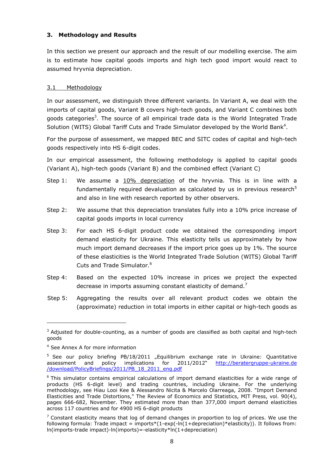#### **3. Methodology and Results**

In this section we present our approach and the result of our modelling exercise. The aim is to estimate how capital goods imports and high tech good import would react to assumed hryvnia depreciation.

## 3.1 Methodology

In our assessment, we distinguish three different variants. In Variant A, we deal with the imports of capital goods, Variant B covers high-tech goods, and Variant C combines both goods categories<sup>3</sup>. The source of all empirical trade data is the World Integrated Trade Solution (WITS) Global Tariff Cuts and Trade Simulator developed by the World Bank<sup>4</sup>.

For the purpose of assessment, we mapped BEC and SITC codes of capital and high-tech goods respectively into HS 6-digit codes.

In our empirical assessment, the following methodology is applied to capital goods (Variant A), high-tech goods (Variant B) and the combined effect (Variant C)

- Step 1: We assume a 10% depreciation of the hryvnia. This is in line with a fundamentally required devaluation as calculated by us in previous research<sup>5</sup> and also in line with research reported by other observers.
- Step 2: We assume that this depreciation translates fully into a 10% price increase of capital goods imports in local currency
- Step 3: For each HS 6-digit product code we obtained the corresponding import demand elasticity for Ukraine. This elasticity tells us approximately by how much import demand decreases if the import price goes up by 1%. The source of these elasticities is the World Integrated Trade Solution (WITS) Global Tariff Cuts and Trade Simulator.<sup>6</sup>
- Step 4: Based on the expected 10% increase in prices we project the expected decrease in imports assuming constant elasticity of demand.<sup>7</sup>
- Step 5: Aggregating the results over all relevant product codes we obtain the (approximate) reduction in total imports in either capital or high-tech goods as

l

 $3$  Adjusted for double-counting, as a number of goods are classified as both capital and high-tech goods

<sup>4</sup> See Annex A for more information

<sup>&</sup>lt;sup>5</sup> See our policy briefing PB/18/2011 "Equilibrium exchange rate in Ukraine: Quantitative assessment and policy implications for 2011/2012" http://beratergruppe-ukraine.de /download/PolicyBriefings/2011/PB\_18\_2011\_eng.pdf

<sup>&</sup>lt;sup>6</sup> This simulator contains empirical calculations of import demand elasticities for a wide range of products (HS 6-digit level) and trading countries, including Ukraine. For the underlying methodology, see Hiau Looi Kee & Alessandro Nicita & Marcelo Olarreaga, 2008. "Import Demand Elasticities and Trade Distortions," The Review of Economics and Statistics, MIT Press, vol. 90(4), pages 666-682, November. They estimated more than than 377,000 import demand elasticities across 117 countries and for 4900 HS 6-digit products

 $<sup>7</sup>$  Constant elasticity means that log of demand changes in proportion to log of prices. We use the</sup> following formula: Trade impact = imports\*(1-exp(-ln(1+depreciation)\*elasticity)). It follows from: ln(imports-trade impact)-ln(imports)=-elasticity\*ln(1+depreciation)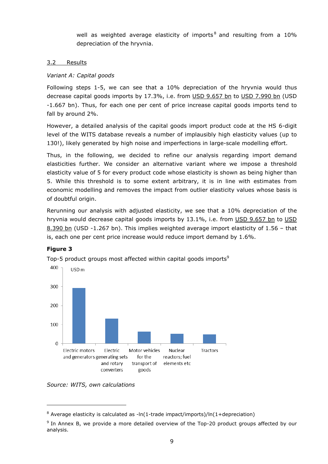well as weighted average elasticity of imports<sup>8</sup> and resulting from a 10% depreciation of the hryvnia.

#### 3.2 Results

## *Variant A: Capital goods*

Following steps 1-5, we can see that a 10% depreciation of the hryvnia would thus decrease capital goods imports by 17.3%, i.e. from USD 9.657 bn to USD 7.990 bn (USD -1.667 bn). Thus, for each one per cent of price increase capital goods imports tend to fall by around 2%.

However, a detailed analysis of the capital goods import product code at the HS 6-digit level of the WITS database reveals a number of implausibly high elasticity values (up to 130!), likely generated by high noise and imperfections in large-scale modelling effort.

Thus, in the following, we decided to refine our analysis regarding import demand elasticities further. We consider an alternative variant where we impose a threshold elasticity value of 5 for every product code whose elasticity is shown as being higher than 5. While this threshold is to some extent arbitrary, it is in line with estimates from economic modelling and removes the impact from outlier elasticity values whose basis is of doubtful origin.

Rerunning our analysis with adjusted elasticity, we see that a 10% depreciation of the hryvnia would decrease capital goods imports by 13.1%, i.e. from USD 9.657 bn to USD 8.390 bn (USD -1.267 bn). This implies weighted average import elasticity of 1.56 – that is, each one per cent price increase would reduce import demand by 1.6%.

#### **Figure 3**

l



Top-5 product groups most affected within capital goods imports<sup>9</sup>

*Source: WITS, own calculations* 

 $8$  Average elasticity is calculated as -ln(1-trade impact/imports)/ln(1+depreciation)

<sup>&</sup>lt;sup>9</sup> In Annex B, we provide a more detailed overview of the Top-20 product groups affected by our analysis.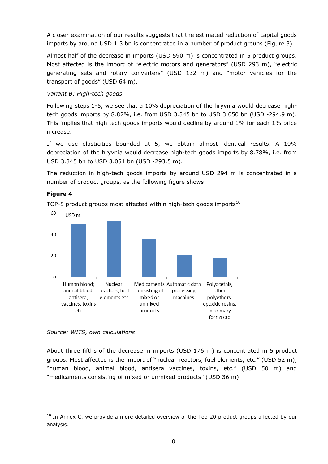A closer examination of our results suggests that the estimated reduction of capital goods imports by around USD 1.3 bn is concentrated in a number of product groups (Figure 3).

Almost half of the decrease in imports (USD 590 m) is concentrated in 5 product groups. Most affected is the import of "electric motors and generators" (USD 293 m), "electric generating sets and rotary converters" (USD 132 m) and "motor vehicles for the transport of goods" (USD 64 m).

## *Variant B: High-tech goods*

Following steps 1-5, we see that a 10% depreciation of the hryvnia would decrease hightech goods imports by 8.82%, i.e. from USD 3.345 bn to USD 3.050 bn (USD -294.9 m). This implies that high tech goods imports would decline by around 1% for each 1% price increase.

If we use elasticities bounded at 5, we obtain almost identical results. A 10% depreciation of the hryvnia would decrease high-tech goods imports by 8.78%, i.e. from USD 3.345 bn to USD 3.051 bn (USD -293.5 m).

The reduction in high-tech goods imports by around USD 294 m is concentrated in a number of product groups, as the following figure shows:

## **Figure 4**

-

TOP-5 product groups most affected within high-tech goods imports<sup>10</sup>



#### *Source: WITS, own calculations*

About three fifths of the decrease in imports (USD 176 m) is concentrated in 5 product groups. Most affected is the import of "nuclear reactors, fuel elements, etc." (USD 52 m), "human blood, animal blood, antisera vaccines, toxins, etc." (USD 50 m) and "medicaments consisting of mixed or unmixed products" (USD 36 m).

 $10$  In Annex C, we provide a more detailed overview of the Top-20 product groups affected by our analysis.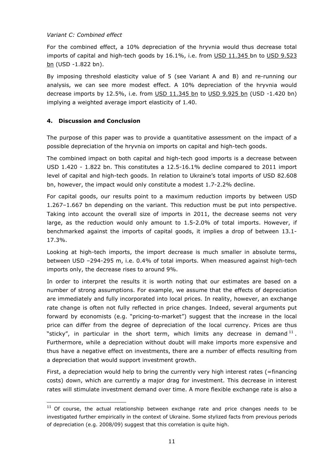#### *Variant C: Combined effect*

For the combined effect, a 10% depreciation of the hryvnia would thus decrease total imports of capital and high-tech goods by 16.1%, i.e. from USD 11.345 bn to USD 9.523 bn (USD -1.822 bn).

By imposing threshold elasticity value of 5 (see Variant A and B) and re-running our analysis, we can see more modest effect. A 10% depreciation of the hryvnia would decrease imports by 12.5%, i.e. from USD 11.345 bn to USD 9.925 bn (USD -1.420 bn) implying a weighted average import elasticity of 1.40.

## **4. Discussion and Conclusion**

-

The purpose of this paper was to provide a quantitative assessment on the impact of a possible depreciation of the hryvnia on imports on capital and high-tech goods.

The combined impact on both capital and high-tech good imports is a decrease between USD 1.420 - 1.822 bn. This constitutes a 12.5-16.1% decline compared to 2011 import level of capital and high-tech goods. In relation to Ukraine's total imports of USD 82.608 bn, however, the impact would only constitute a modest 1.7-2.2% decline.

For capital goods, our results point to a maximum reduction imports by between USD 1.267–1.667 bn depending on the variant. This reduction must be put into perspective. Taking into account the overall size of imports in 2011, the decrease seems not very large, as the reduction would only amount to 1.5-2.0% of total imports. However, if benchmarked against the imports of capital goods, it implies a drop of between 13.1- 17.3%.

Looking at high-tech imports, the import decrease is much smaller in absolute terms, between USD –294-295 m, i.e. 0.4% of total imports. When measured against high-tech imports only, the decrease rises to around 9%.

In order to interpret the results it is worth noting that our estimates are based on a number of strong assumptions. For example, we assume that the effects of depreciation are immediately and fully incorporated into local prices. In reality, however, an exchange rate change is often not fully reflected in price changes. Indeed, several arguments put forward by economists (e.g. "pricing-to-market") suggest that the increase in the local price can differ from the degree of depreciation of the local currency. Prices are thus "sticky", in particular in the short term, which limits any decrease in demand  $^{11}$ . Furthermore, while a depreciation without doubt will make imports more expensive and thus have a negative effect on investments, there are a number of effects resulting from a depreciation that would support investment growth.

First, a depreciation would help to bring the currently very high interest rates (=financing costs) down, which are currently a major drag for investment. This decrease in interest rates will stimulate investment demand over time. A more flexible exchange rate is also a

 $11$  Of course, the actual relationship between exchange rate and price changes needs to be investigated further empirically in the context of Ukraine. Some stylized facts from previous periods of depreciation (e.g. 2008/09) suggest that this correlation is quite high.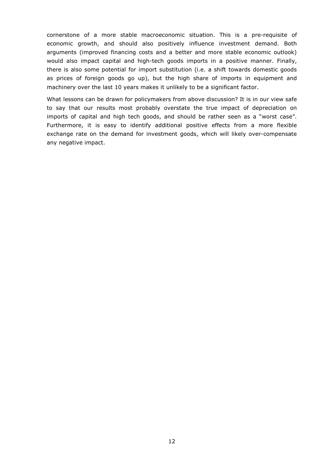cornerstone of a more stable macroeconomic situation. This is a pre-requisite of economic growth, and should also positively influence investment demand. Both arguments (improved financing costs and a better and more stable economic outlook) would also impact capital and high-tech goods imports in a positive manner. Finally, there is also some potential for import substitution (i.e. a shift towards domestic goods as prices of foreign goods go up), but the high share of imports in equipment and machinery over the last 10 years makes it unlikely to be a significant factor.

What lessons can be drawn for policymakers from above discussion? It is in our view safe to say that our results most probably overstate the true impact of depreciation on imports of capital and high tech goods, and should be rather seen as a "worst case". Furthermore, it is easy to identify additional positive effects from a more flexible exchange rate on the demand for investment goods, which will likely over-compensate any negative impact.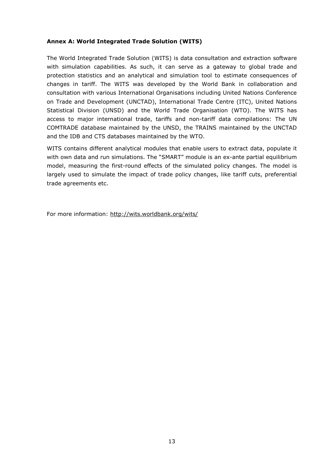#### **Annex A: World Integrated Trade Solution (WITS)**

The World Integrated Trade Solution (WITS) is data consultation and extraction software with simulation capabilities. As such, it can serve as a gateway to global trade and protection statistics and an analytical and simulation tool to estimate consequences of changes in tariff. The WITS was developed by the World Bank in collaboration and consultation with various International Organisations including United Nations Conference on Trade and Development (UNCTAD), International Trade Centre (ITC), United Nations Statistical Division (UNSD) and the World Trade Organisation (WTO). The WITS has access to major international trade, tariffs and non-tariff data compilations: The UN COMTRADE database maintained by the UNSD, the TRAINS maintained by the UNCTAD and the IDB and CTS databases maintained by the WTO.

WITS contains different analytical modules that enable users to extract data, populate it with own data and run simulations. The "SMART" module is an ex-ante partial equilibrium model, measuring the first-round effects of the simulated policy changes. The model is largely used to simulate the impact of trade policy changes, like tariff cuts, preferential trade agreements etc.

For more information: http://wits.worldbank.org/wits/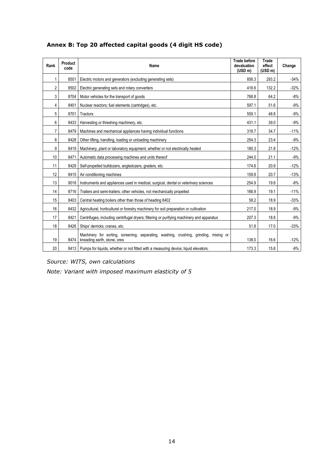| Rank | <b>Product</b><br>code | Name                                                                                                                | <b>Trade before</b><br>devaluation<br>(USD m) | <b>Trade</b><br>effect<br>(USD m) | Change |
|------|------------------------|---------------------------------------------------------------------------------------------------------------------|-----------------------------------------------|-----------------------------------|--------|
| 1    | 8501                   | Electric motors and generators (excluding generating sets)                                                          | 856.3                                         | 293.2                             | $-34%$ |
| 2    | 8502                   | Electric generating sets and rotary converters                                                                      | 416.6                                         | 132.2                             | $-32%$ |
| 3    | 8704                   | Motor vehicles for the transport of goods                                                                           | 64.2                                          | $-8%$                             |        |
| 4    | 8401                   | Nuclear reactors; fuel elements (cartridges), etc.                                                                  | 597.1                                         | 51.6                              | $-9%$  |
| 5    | 8701                   | Tractors                                                                                                            | 559.1                                         | 48.8                              | $-9%$  |
| 6    | 8433                   | Harvesting or threshing machinery, etc.                                                                             | 431.1                                         | 39.0                              | $-9%$  |
| 7    | 8479                   | Machines and mechanical appliances having individual functions                                                      | 318.7                                         | 34.7                              | $-11%$ |
| 8    | 8428                   | Other lifting, handling, loading or unloading machinery                                                             | 254.3                                         | 23.4                              | $-9%$  |
| 9    | 8419                   | Machinery, plant or laboratory equipment, whether or not electrically heated                                        | 180.3                                         | 21.8                              | $-12%$ |
| 10   | 8471                   | Automatic data processing machines and units thereof                                                                | 244.0                                         | 21.1                              | $-9%$  |
| 11   | 8429                   | Self-propelled bulldozers, angledozers, graders, etc.                                                               | 174.6                                         | 20.9                              | $-12%$ |
| 12   | 8415                   | Air conditioning machines                                                                                           | 159.8                                         | 20.7                              | $-13%$ |
| 13   | 9018                   | Instruments and appliances used in medical, surgical, dental or veterinary sciences                                 | 254.9                                         | 19.8                              | $-8%$  |
| 14   | 8716                   | Trailers and semi-trailers; other vehicles, not mechanically propelled                                              | 166.9                                         | 19.1                              | $-11%$ |
| 15   | 8403                   | Central heating boilers other than those of heading 8402                                                            | 58.2                                          | 18.9                              | $-33%$ |
| 16   | 8432                   | Agricultural, horticultural or forestry machinery for soil preparation or cultivation                               | 217.0                                         | 18.9                              | $-9%$  |
| 17   | 8421                   | Centrifuges, including centrifugal dryers; filtering or purifying machinery and apparatus                           | 207.3                                         | 18.8                              | $-9%$  |
| 18   | 8426                   | Ships' derricks; cranes, etc.                                                                                       | 51.8                                          | 17.0                              | $-33%$ |
| 19   | 8474                   | Machinery for sorting, screening, separating, washing, crushing, grinding, mixing or<br>kneading earth, stone, ores | 138.0                                         | 16.6                              | $-12%$ |
| 20   | 8413                   | Pumps for liquids, whether or not fitted with a measuring device; liquid elevators.                                 | 173.3                                         | 15.8                              | -9%    |

# **Annex B: Top 20 affected capital goods (4 digit HS code)**

*Source: WITS, own calculations* 

*Note: Variant with imposed maximum elasticity of 5*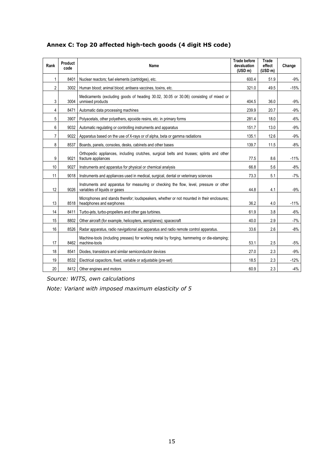| Rank           | Product<br>code | Name                                                                                                                    | <b>Trade before</b><br>devaluation<br>(USD m) | <b>Trade</b><br>effect<br>(USD m) | Change |
|----------------|-----------------|-------------------------------------------------------------------------------------------------------------------------|-----------------------------------------------|-----------------------------------|--------|
| 1              | 8401            | Nuclear reactors; fuel elements (cartridges), etc.                                                                      | 600.4                                         | 51.9                              | $-9%$  |
| $\overline{2}$ | 3002            | Human blood; animal blood; antisera vaccines, toxins, etc.                                                              | 321.0                                         | 49.5                              | $-15%$ |
| 3              | 3004            | Medicaments (excluding goods of heading 30.02, 30.05 or 30.06) consisting of mixed or<br>unmixed products               | 404.5                                         | 36.0                              | $-9%$  |
| 4              | 8471            | Automatic data processing machines                                                                                      | 239.9                                         | 20.7                              | $-9%$  |
| 5              | 3907            | Polyacetals, other polyethers, epoxide resins, etc. in primary forms                                                    | 281.4                                         | 18.0                              | $-6%$  |
| 6              | 9032            | Automatic regulating or controlling instruments and apparatus                                                           | 151.7                                         | 13.0                              | $-9%$  |
| $\overline{7}$ | 9022            | Apparatus based on the use of X-rays or of alpha, beta or gamma radiations                                              | 135.1                                         | 12.6                              | $-9%$  |
| 8              | 8537            | Boards, panels, consoles, desks, cabinets and other bases                                                               | 139.7                                         | 11.5                              | $-8%$  |
| 9              | 9021            | Orthopedic appliances, including crutches, surgical belts and trusses; splints and other<br>fracture appliances         | 77.5                                          | 8.6                               | $-11%$ |
| 10             | 9027            | Instruments and apparatus for physical or chemical analysis                                                             | 66.8                                          | 5.6                               | $-8%$  |
| 11             | 9018            | Instruments and appliances used in medical, surgical, dental or veterinary sciences                                     | 73.3                                          | 5.1                               | $-7%$  |
| 12             | 9026            | Instruments and apparatus for measuring or checking the flow, level, pressure or other<br>variables of liquids or gases | 44.8                                          | 4.1                               | $-9%$  |
| 13             | 8518            | Microphones and stands therefor; loudspeakers, whether or not mounted in their enclosures;<br>headphones and earphones  | 36.2                                          | 4.0                               | $-11%$ |
| 14             | 8411            | Turbo-jets, turbo-propellers and other gas turbines.                                                                    | 61.9                                          | 3.8                               | $-6%$  |
| 15             | 8802            | Other aircraft (for example, helicopters, aeroplanes); spacecraft                                                       | 40.0                                          | 2.9                               | $-7%$  |
| 16             | 8526            | Radar apparatus, radio navigational aid apparatus and radio remote control apparatus.                                   | 33.6                                          | 2.6                               | $-8%$  |
| 17             | 8462            | Machine-tools (including presses) for working metal by forging, hammering or die-stamping;<br>machine-tools             | 53.1                                          | 2.5                               | $-5%$  |
| 18             | 8541            | Diodes, transistors and similar semiconductor devices                                                                   | 27.0                                          | 2.3                               | $-9%$  |
| 19             | 8532            | Electrical capacitors, fixed, variable or adjustable (pre-set)                                                          | 18.5                                          | 2.3                               | $-12%$ |
| 20             | 8412            | Other engines and motors                                                                                                | 60.9                                          | 2.3                               | $-4%$  |

# **Annex C: Top 20 affected high-tech goods (4 digit HS code)**

*Source: WITS, own calculations* 

*Note: Variant with imposed maximum elasticity of 5*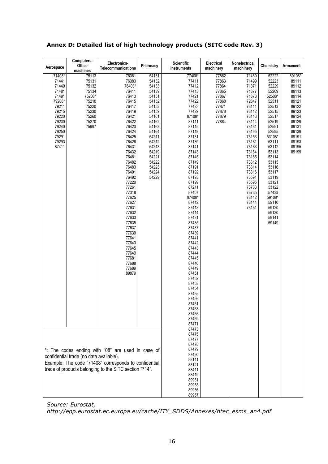| Annex D: Detailed list of high technology products (SITC code Rev. 3) |  |
|-----------------------------------------------------------------------|--|
|-----------------------------------------------------------------------|--|

| Aerospace                                                                                                                                                                                                       | Computers-<br><b>Office</b><br>machines                                                          | Electronics-<br>Telecommunications                                                                                                                                                                                                                                                                                                                                    | Pharmacy                                                                                                                                                                                  | <b>Scientific</b><br>instruments                                                                                                                                                                                                                                                                                                                                                                                                                | Electrical<br>machinery                                                                | Nonelectrical<br>machinery                                                                                                                                                                                                                      | Chemistry                                                                                                                                                                                                                                                                     | Armament                                                                                                                                      |
|-----------------------------------------------------------------------------------------------------------------------------------------------------------------------------------------------------------------|--------------------------------------------------------------------------------------------------|-----------------------------------------------------------------------------------------------------------------------------------------------------------------------------------------------------------------------------------------------------------------------------------------------------------------------------------------------------------------------|-------------------------------------------------------------------------------------------------------------------------------------------------------------------------------------------|-------------------------------------------------------------------------------------------------------------------------------------------------------------------------------------------------------------------------------------------------------------------------------------------------------------------------------------------------------------------------------------------------------------------------------------------------|----------------------------------------------------------------------------------------|-------------------------------------------------------------------------------------------------------------------------------------------------------------------------------------------------------------------------------------------------|-------------------------------------------------------------------------------------------------------------------------------------------------------------------------------------------------------------------------------------------------------------------------------|-----------------------------------------------------------------------------------------------------------------------------------------------|
| 71408*<br>71441<br>71449<br>71481<br>71491<br>79208*<br>79211<br>79215<br>79220<br>79230<br>79240<br>79250<br>79291<br>79293<br>87411                                                                           | 75113<br>75131<br>75132<br>75134<br>75208*<br>75210<br>75220<br>75230<br>75260<br>75270<br>75997 | 76381<br>76383<br>76408*<br>76411<br>76413<br>76415<br>76417<br>76419<br>76421<br>76422<br>76423<br>76424<br>76425<br>76426<br>76431<br>76432<br>76481<br>76482<br>76483<br>76491<br>76492<br>77220<br>77261<br>77318<br>77625<br>77627<br>77631<br>77632<br>77633<br>77635<br>77637<br>77639<br>77641<br>77643<br>77645<br>77649<br>77681<br>77688<br>77689<br>89879 | 54131<br>54132<br>54133<br>54139<br>54151<br>54152<br>54153<br>54159<br>54161<br>54162<br>54163<br>54164<br>54211<br>54212<br>54213<br>54219<br>54221<br>54222<br>54223<br>54224<br>54229 | 77408*<br>77411<br>77412<br>77413<br>77421<br>77422<br>77423<br>77429<br>87108*<br>87111<br>87115<br>87119<br>87131<br>87139<br>87141<br>87143<br>87145<br>87149<br>87191<br>87192<br>87193<br>87199<br>87211<br>87407<br>87408*<br>87412<br>87413<br>87414<br>87431<br>87435<br>87437<br>87439<br>87441<br>87442<br>87443<br>87444<br>87445<br>87446<br>87449<br>87451<br>87452<br>87453<br>87454<br>87455<br>87456<br>87461<br>87463<br>87465 | 77862<br>77863<br>77864<br>77865<br>77867<br>77868<br>77871<br>77878<br>77879<br>77884 | 71489<br>71499<br>71871<br>71877<br>71878<br>72847<br>73111<br>73112<br>73113<br>73114<br>73131<br>73135<br>73153<br>73161<br>73163<br>73164<br>73165<br>73312<br>73314<br>73316<br>73591<br>73595<br>73733<br>73735<br>73142<br>73144<br>73151 | 52222<br>52223<br>52229<br>52269<br>52508*<br>52511<br>52513<br>52515<br>52517<br>52519<br>52591<br>52595<br>53108*<br>53111<br>53112<br>53113<br>53114<br>53115<br>53116<br>53117<br>53119<br>53121<br>53122<br>57433<br>59108*<br>59110<br>59120<br>59130<br>59141<br>59149 | 89108*<br>89111<br>89112<br>89113<br>89114<br>89121<br>89122<br>89123<br>89124<br>89129<br>89131<br>89139<br>89191<br>89193<br>89195<br>89199 |
| *: The codes ending with "08" are used in case of<br>confidential trade (no data available).<br>Example: The code "71408" corresponds to confidential<br>trade of products belonging to the SITC section "714". |                                                                                                  |                                                                                                                                                                                                                                                                                                                                                                       | 87469<br>87471<br>87473<br>87475<br>87477<br>87478<br>87479<br>87490<br>88111<br>88121<br>88411<br>88419<br>89961<br>89963<br>89966<br>89967                                              |                                                                                                                                                                                                                                                                                                                                                                                                                                                 |                                                                                        |                                                                                                                                                                                                                                                 |                                                                                                                                                                                                                                                                               |                                                                                                                                               |

*Source: Eurostat, http://epp.eurostat.ec.europa.eu/cache/ITY\_SDDS/Annexes/htec\_esms\_an4.pdf*